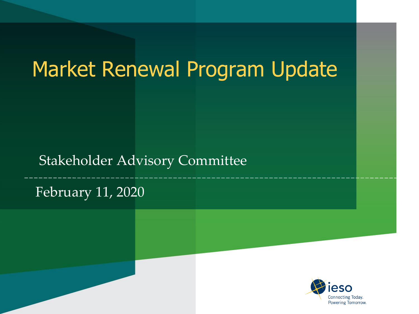# Market Renewal Program Update

#### Stakeholder Advisory Committee

#### February 11, 2020

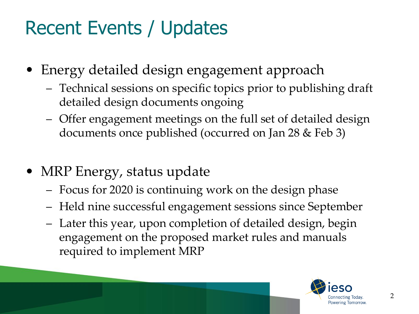# Recent Events / Updates

- Energy detailed design engagement approach
	- Technical sessions on specific topics prior to publishing draft detailed design documents ongoing
	- Offer engagement meetings on the full set of detailed design documents once published (occurred on Jan 28 & Feb 3)
- MRP Energy, status update
	- Focus for 2020 is continuing work on the design phase
	- Held nine successful engagement sessions since September
	- Later this year, upon completion of detailed design, begin engagement on the proposed market rules and manuals required to implement MRP

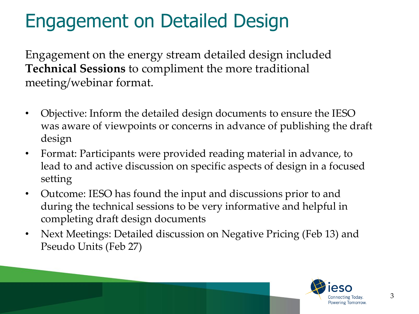### Engagement on Detailed Design

Engagement on the energy stream detailed design included **Technical Sessions** to compliment the more traditional meeting/webinar format.

- Objective: Inform the detailed design documents to ensure the IESO was aware of viewpoints or concerns in advance of publishing the draft design
- Format: Participants were provided reading material in advance, to lead to and active discussion on specific aspects of design in a focused setting
- Outcome: IESO has found the input and discussions prior to and during the technical sessions to be very informative and helpful in completing draft design documents
- Next Meetings: Detailed discussion on Negative Pricing (Feb 13) and Pseudo Units (Feb 27)

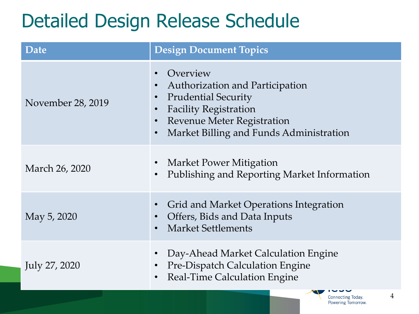### Detailed Design Release Schedule

| Date              | <b>Design Document Topics</b>                                                                                                                                                             |
|-------------------|-------------------------------------------------------------------------------------------------------------------------------------------------------------------------------------------|
| November 28, 2019 | Overview<br>Authorization and Participation<br><b>Prudential Security</b><br><b>Facility Registration</b><br><b>Revenue Meter Registration</b><br>Market Billing and Funds Administration |
| March 26, 2020    | Market Power Mitigation<br>Publishing and Reporting Market Information                                                                                                                    |
| May 5, 2020       | Grid and Market Operations Integration<br>Offers, Bids and Data Inputs<br><b>Market Settlements</b>                                                                                       |
| July 27, 2020     | Day-Ahead Market Calculation Engine<br><b>Pre-Dispatch Calculation Engine</b><br><b>Real-Time Calculation Engine</b>                                                                      |
|                   | 4<br><b>Connecting Today.</b>                                                                                                                                                             |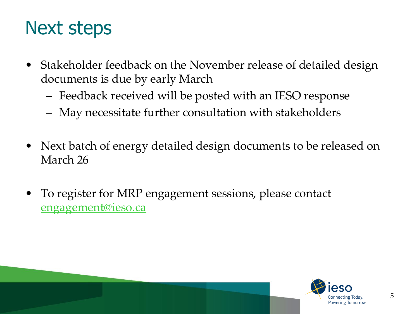### Next steps

- Stakeholder feedback on the November release of detailed design documents is due by early March
	- Feedback received will be posted with an IESO response
	- May necessitate further consultation with stakeholders
- Next batch of energy detailed design documents to be released on March 26
- To register for MRP engagement sessions, please contact [engagement@ieso.ca](mailto:engagement@ieso.ca)

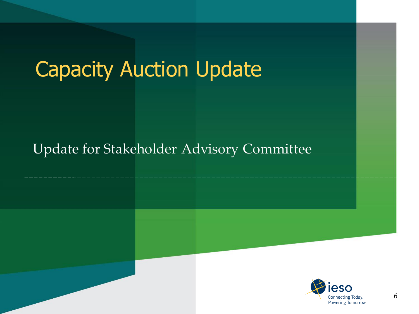# Capacity Auction Update

#### **Update for Stakeholder Advisory Committee**

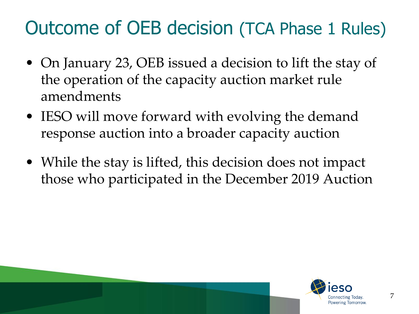### Outcome of OEB decision (TCA Phase 1 Rules)

- On January 23, OEB issued a decision to lift the stay of the operation of the capacity auction market rule amendments
- IESO will move forward with evolving the demand response auction into a broader capacity auction
- While the stay is lifted, this decision does not impact those who participated in the December 2019 Auction

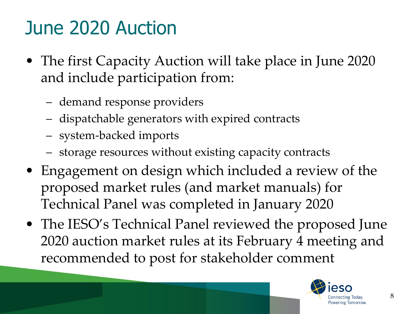# June 2020 Auction

- The first Capacity Auction will take place in June 2020 and include participation from:
	- demand response providers
	- dispatchable generators with expired contracts
	- system-backed imports
	- storage resources without existing capacity contracts
- Engagement on design which included a review of the proposed market rules (and market manuals) for Technical Panel was completed in January 2020
- The IESO's Technical Panel reviewed the proposed June 2020 auction market rules at its February 4 meeting and recommended to post for stakeholder comment

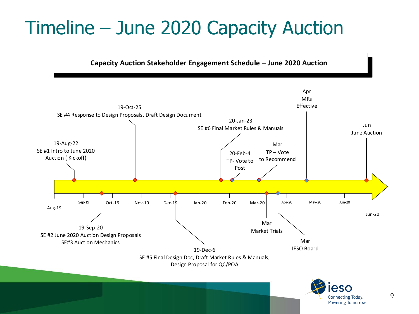# Timeline – June 2020 Capacity Auction



9

Powering Tomorrow.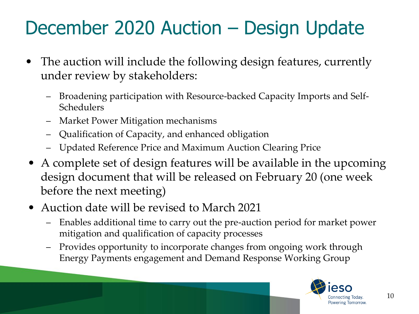# December 2020 Auction – Design Update

- The auction will include the following design features, currently under review by stakeholders:
	- Broadening participation with Resource-backed Capacity Imports and Self-Schedulers
	- Market Power Mitigation mechanisms
	- Qualification of Capacity, and enhanced obligation
	- Updated Reference Price and Maximum Auction Clearing Price
- A complete set of design features will be available in the upcoming design document that will be released on February 20 (one week before the next meeting)
- Auction date will be revised to March 2021
	- Enables additional time to carry out the pre-auction period for market power mitigation and qualification of capacity processes
	- Provides opportunity to incorporate changes from ongoing work through Energy Payments engagement and Demand Response Working Group

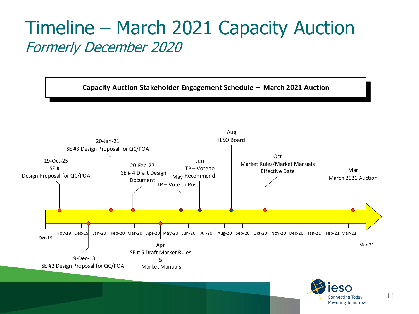### Timeline – March 2021 Capacity Auction Formerly December 2020